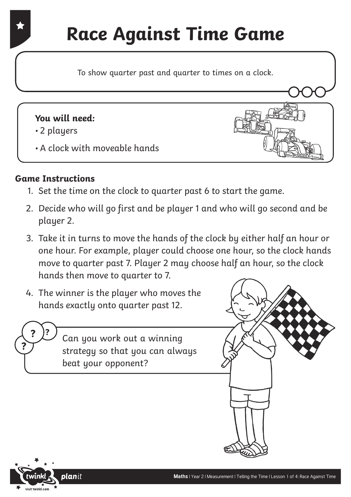## **Race Against Time Game**

To show quarter past and quarter to times on a clock.

#### **You will need:**

- 2 players
- A clock with moveable hands

#### **Game Instructions**

- 1. Set the time on the clock to quarter past 6 to start the game.
- 2. Decide who will go first and be player 1 and who will go second and be player 2.
- 3. Take it in turns to move the hands of the clock by either half an hour or one hour. For example, player could choose one hour, so the clock hands move to quarter past 7. Player 2 may choose half an hour, so the clock hands then move to quarter to 7.
- 4. The winner is the player who moves the hands exactly onto quarter past 12.

**?** Can you work out a winning strategy so that you can always beat your opponent?





**?**

**?**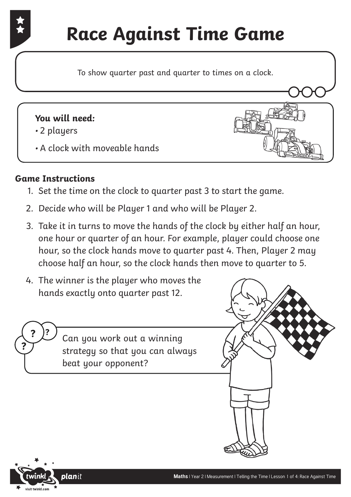# **Race Against Time Game**

To show quarter past and quarter to times on a clock.

#### **You will need:**

- 2 players
- A clock with moveable hands

### **Game Instructions**

- 1. Set the time on the clock to quarter past 3 to start the game.
- 2. Decide who will be Player 1 and who will be Player 2.
- 3. Take it in turns to move the hands of the clock by either half an hour, one hour or quarter of an hour. For example, player could choose one hour, so the clock hands move to quarter past 4. Then, Player 2 may choose half an hour, so the clock hands then move to quarter to 5.
- 4. The winner is the player who moves the hands exactly onto quarter past 12.

**?** Can you work out a winning strategy so that you can always beat your opponent?



**?**

**?**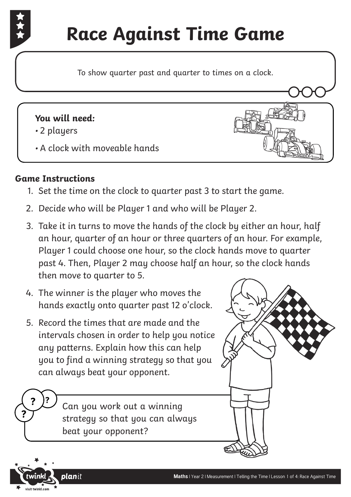

To show quarter past and quarter to times on a clock.

#### **You will need:**

- 2 players
- A clock with moveable hands

#### **Game Instructions**

- 1. Set the time on the clock to quarter past 3 to start the game.
- 2. Decide who will be Player 1 and who will be Player 2.
- 3. Take it in turns to move the hands of the clock by either an hour, half an hour, quarter of an hour or three quarters of an hour. For example, Player 1 could choose one hour, so the clock hands move to quarter past 4. Then, Player 2 may choose half an hour, so the clock hands then move to quarter to 5.
- 4. The winner is the player who moves the hands exactly onto quarter past 12 o'clock.
- 5. Record the times that are made and the intervals chosen in order to help you notice any patterns. Explain how this can help you to find a winning strategy so that you can always beat your opponent.

**?** Can you work out a winning strategy so that you can always beat your opponent?





**?**

**?**